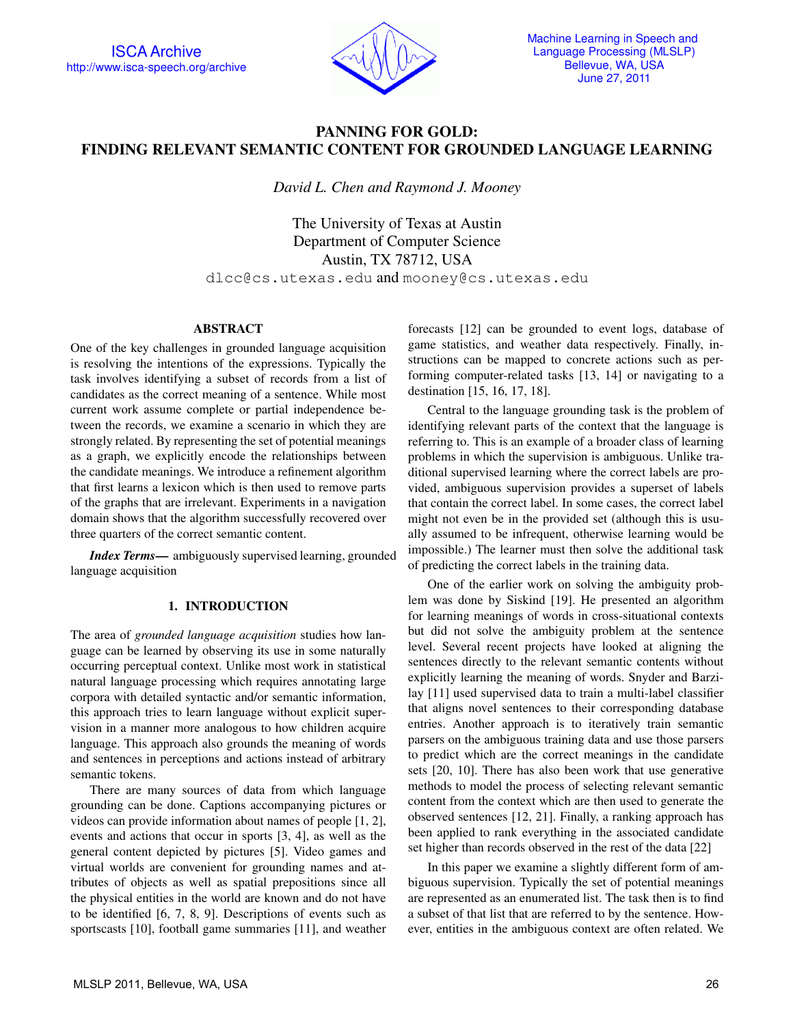

# PANNING FOR GOLD: FINDING RELEVANT SEMANTIC CONTENT FOR GROUNDED LANGUAGE LEARNING

*David L. Chen and Raymond J. Mooney*

The University of Texas at Austin Department of Computer Science Austin, TX 78712, USA dlcc@cs.utexas.edu and mooney@cs.utexas.edu

#### ABSTRACT

One of the key challenges in grounded language acquisition is resolving the intentions of the expressions. Typically the task involves identifying a subset of records from a list of candidates as the correct meaning of a sentence. While most current work assume complete or partial independence between the records, we examine a scenario in which they are strongly related. By representing the set of potential meanings as a graph, we explicitly encode the relationships between the candidate meanings. We introduce a refinement algorithm that first learns a lexicon which is then used to remove parts of the graphs that are irrelevant. Experiments in a navigation domain shows that the algorithm successfully recovered over three quarters of the correct semantic content.

*Index Terms*— ambiguously supervised learning, grounded language acquisition

### 1. INTRODUCTION

The area of *grounded language acquisition* studies how language can be learned by observing its use in some naturally occurring perceptual context. Unlike most work in statistical natural language processing which requires annotating large corpora with detailed syntactic and/or semantic information, this approach tries to learn language without explicit supervision in a manner more analogous to how children acquire language. This approach also grounds the meaning of words and sentences in perceptions and actions instead of arbitrary semantic tokens.

There are many sources of data from which language grounding can be done. Captions accompanying pictures or videos can provide information about names of people [1, 2], events and actions that occur in sports [3, 4], as well as the general content depicted by pictures [5]. Video games and virtual worlds are convenient for grounding names and attributes of objects as well as spatial prepositions since all the physical entities in the world are known and do not have to be identified [6, 7, 8, 9]. Descriptions of events such as sportscasts [10], football game summaries [11], and weather forecasts [12] can be grounded to event logs, database of game statistics, and weather data respectively. Finally, instructions can be mapped to concrete actions such as performing computer-related tasks [13, 14] or navigating to a destination [15, 16, 17, 18].

Central to the language grounding task is the problem of identifying relevant parts of the context that the language is referring to. This is an example of a broader class of learning problems in which the supervision is ambiguous. Unlike traditional supervised learning where the correct labels are provided, ambiguous supervision provides a superset of labels that contain the correct label. In some cases, the correct label might not even be in the provided set (although this is usually assumed to be infrequent, otherwise learning would be impossible.) The learner must then solve the additional task of predicting the correct labels in the training data.

One of the earlier work on solving the ambiguity problem was done by Siskind [19]. He presented an algorithm for learning meanings of words in cross-situational contexts but did not solve the ambiguity problem at the sentence level. Several recent projects have looked at aligning the sentences directly to the relevant semantic contents without explicitly learning the meaning of words. Snyder and Barzilay [11] used supervised data to train a multi-label classifier that aligns novel sentences to their corresponding database entries. Another approach is to iteratively train semantic parsers on the ambiguous training data and use those parsers to predict which are the correct meanings in the candidate sets [20, 10]. There has also been work that use generative methods to model the process of selecting relevant semantic content from the context which are then used to generate the observed sentences [12, 21]. Finally, a ranking approach has been applied to rank everything in the associated candidate set higher than records observed in the rest of the data [22]

In this paper we examine a slightly different form of ambiguous supervision. Typically the set of potential meanings are represented as an enumerated list. The task then is to find a subset of that list that are referred to by the sentence. However, entities in the ambiguous context are often related. We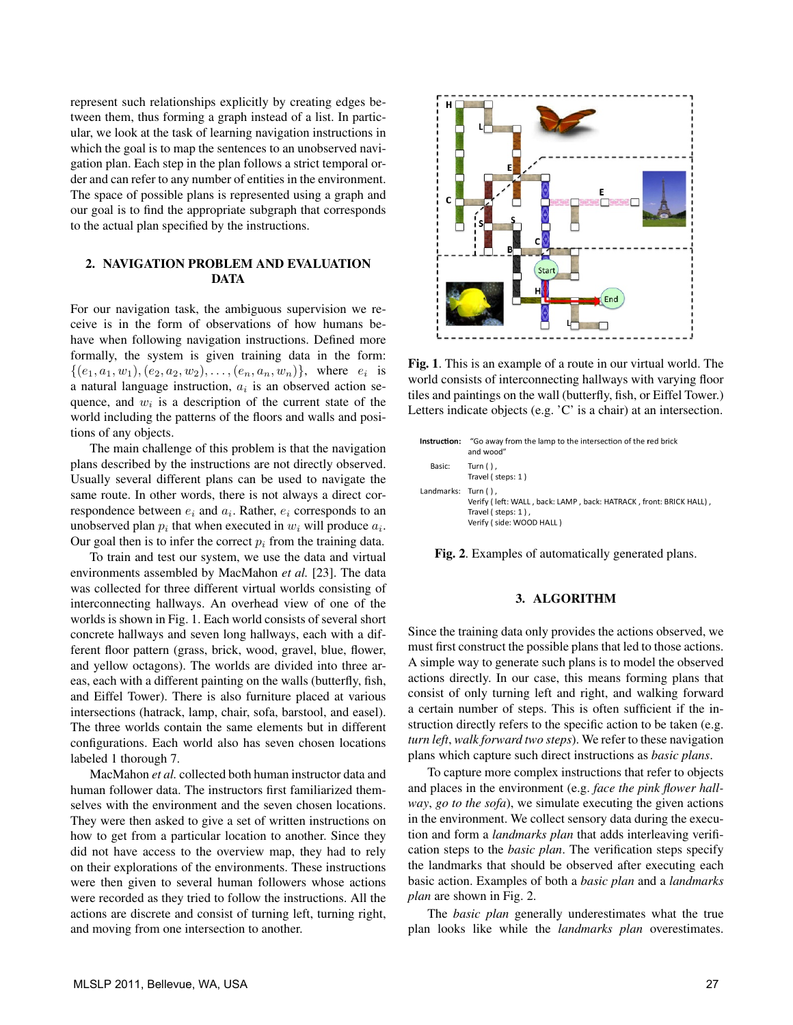represent such relationships explicitly by creating edges between them, thus forming a graph instead of a list. In particular, we look at the task of learning navigation instructions in which the goal is to map the sentences to an unobserved navigation plan. Each step in the plan follows a strict temporal order and can refer to any number of entities in the environment. The space of possible plans is represented using a graph and our goal is to find the appropriate subgraph that corresponds to the actual plan specified by the instructions.

# 2. NAVIGATION PROBLEM AND EVALUATION **DATA**

For our navigation task, the ambiguous supervision we receive is in the form of observations of how humans behave when following navigation instructions. Defined more formally, the system is given training data in the form:  $\{(e_1, a_1, w_1), (e_2, a_2, w_2), \ldots, (e_n, a_n, w_n)\},$  where  $e_i$  is a natural language instruction, *a<sup>i</sup>* is an observed action sequence, and  $w_i$  is a description of the current state of the world including the patterns of the floors and walls and positions of any objects.

The main challenge of this problem is that the navigation plans described by the instructions are not directly observed. Usually several different plans can be used to navigate the same route. In other words, there is not always a direct correspondence between *e<sup>i</sup>* and *a<sup>i</sup>* . Rather, *e<sup>i</sup>* corresponds to an unobserved plan  $p_i$  that when executed in  $w_i$  will produce  $a_i$ . Our goal then is to infer the correct  $p_i$  from the training data.

To train and test our system, we use the data and virtual environments assembled by MacMahon *et al.* [23]. The data was collected for three different virtual worlds consisting of interconnecting hallways. An overhead view of one of the worlds is shown in Fig. 1. Each world consists of several short concrete hallways and seven long hallways, each with a different floor pattern (grass, brick, wood, gravel, blue, flower, and yellow octagons). The worlds are divided into three areas, each with a different painting on the walls (butterfly, fish, and Eiffel Tower). There is also furniture placed at various intersections (hatrack, lamp, chair, sofa, barstool, and easel). The three worlds contain the same elements but in different configurations. Each world also has seven chosen locations labeled 1 thorough 7.

MacMahon *et al.* collected both human instructor data and human follower data. The instructors first familiarized themselves with the environment and the seven chosen locations. They were then asked to give a set of written instructions on how to get from a particular location to another. Since they did not have access to the overview map, they had to rely on their explorations of the environments. These instructions were then given to several human followers whose actions were recorded as they tried to follow the instructions. All the actions are discrete and consist of turning left, turning right, and moving from one intersection to another.



Fig. 1. This is an example of a route in our virtual world. The world consists of interconnecting hallways with varying floor tiles and paintings on the wall (butterfly, fish, or Eiffel Tower.) Letters indicate objects (e.g. 'C' is a chair) at an intersection.

| Instruction:        | "Go away from the lamp to the intersection of the red brick<br>and wood"                                             |
|---------------------|----------------------------------------------------------------------------------------------------------------------|
| Basic:              | Turn $()$ .<br>Travel (steps: 1)                                                                                     |
| Landmarks: Turn (). | Verify (left: WALL, back: LAMP, back: HATRACK, front: BRICK HALL),<br>Travel (steps: 1),<br>Verify (side: WOOD HALL) |

Fig. 2. Examples of automatically generated plans.

# 3. ALGORITHM

Since the training data only provides the actions observed, we must first construct the possible plans that led to those actions. A simple way to generate such plans is to model the observed actions directly. In our case, this means forming plans that consist of only turning left and right, and walking forward a certain number of steps. This is often sufficient if the instruction directly refers to the specific action to be taken (e.g. *turn left*, *walk forward two steps*). We refer to these navigation plans which capture such direct instructions as *basic plans*.

To capture more complex instructions that refer to objects and places in the environment (e.g. *face the pink flower hallway*, *go to the sofa*), we simulate executing the given actions in the environment. We collect sensory data during the execution and form a *landmarks plan* that adds interleaving verification steps to the *basic plan*. The verification steps specify the landmarks that should be observed after executing each basic action. Examples of both a *basic plan* and a *landmarks plan* are shown in Fig. 2.

The *basic plan* generally underestimates what the true plan looks like while the *landmarks plan* overestimates.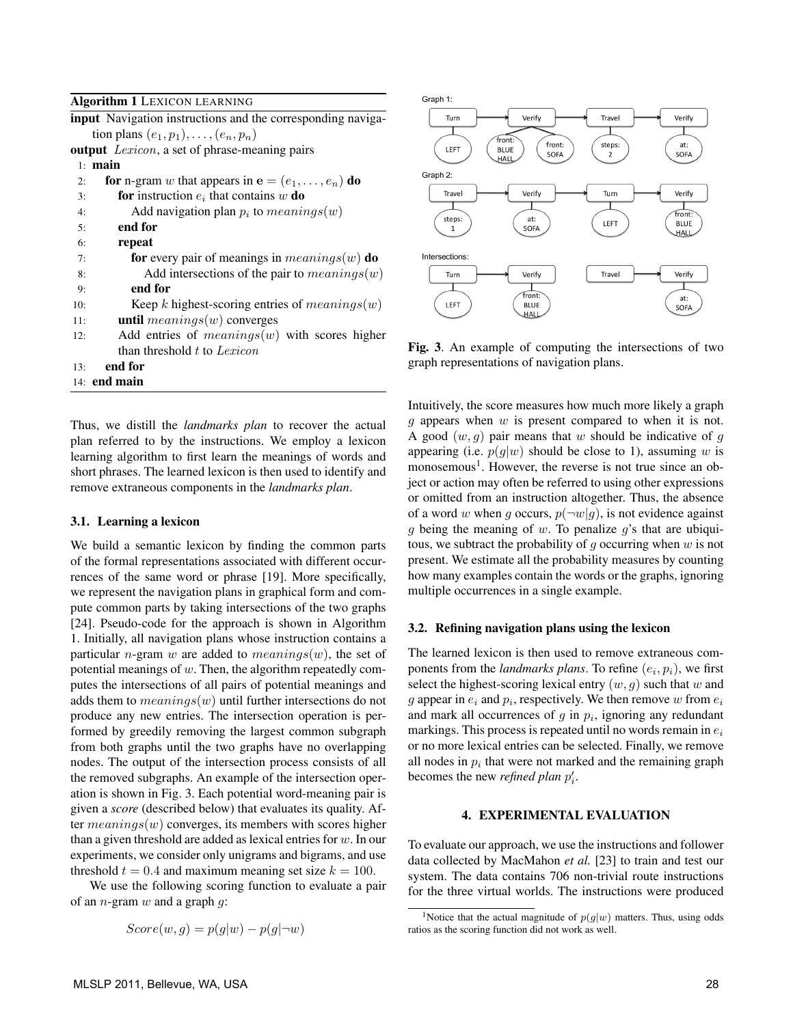#### Algorithm 1 LEXICON LEARNING

|     | <b>input</b> Navigation instructions and the corresponding naviga- |
|-----|--------------------------------------------------------------------|
|     | tion plans $(e_1, p_1), \ldots, (e_n, p_n)$                        |
|     | <b>output</b> <i>Lexicon</i> , a set of phrase-meaning pairs       |
|     | $1:$ main                                                          |
| 2:  | for n-gram w that appears in $e = (e_1, \ldots, e_n)$ do           |
| 3:  | <b>for</b> instruction $e_i$ that contains w <b>do</b>             |
| 4:  | Add navigation plan $p_i$ to $meaning(w)$                          |
| 5:  | end for                                                            |
| 6:  | repeat                                                             |
| 7:  | for every pair of meanings in $means(w)$ do                        |
| 8:  | Add intersections of the pair to $meaning(w)$                      |
| 9:  | end for                                                            |
| 10: | Keep k highest-scoring entries of $meaning(w)$                     |
| 11: | until $means(w)$ converges                                         |
| 12: | Add entries of $means(w)$ with scores higher                       |
|     | than threshold t to Lexicon                                        |
| 13: | end for                                                            |
|     | $14:$ end main                                                     |
|     |                                                                    |

Thus, we distill the *landmarks plan* to recover the actual plan referred to by the instructions. We employ a lexicon learning algorithm to first learn the meanings of words and short phrases. The learned lexicon is then used to identify and remove extraneous components in the *landmarks plan*.

#### 3.1. Learning a lexicon

We build a semantic lexicon by finding the common parts of the formal representations associated with different occurrences of the same word or phrase [19]. More specifically, we represent the navigation plans in graphical form and compute common parts by taking intersections of the two graphs [24]. Pseudo-code for the approach is shown in Algorithm 1. Initially, all navigation plans whose instruction contains a particular *n*-gram *w* are added to *meanings*(*w*), the set of potential meanings of *w*. Then, the algorithm repeatedly computes the intersections of all pairs of potential meanings and adds them to *meanings*(*w*) until further intersections do not produce any new entries. The intersection operation is performed by greedily removing the largest common subgraph from both graphs until the two graphs have no overlapping nodes. The output of the intersection process consists of all the removed subgraphs. An example of the intersection operation is shown in Fig. 3. Each potential word-meaning pair is given a *score* (described below) that evaluates its quality. After *meanings*(*w*) converges, its members with scores higher than a given threshold are added as lexical entries for *w*. In our experiments, we consider only unigrams and bigrams, and use threshold  $t = 0.4$  and maximum meaning set size  $k = 100$ .

We use the following scoring function to evaluate a pair of an *n*-gram *w* and a graph *g*:

$$
Score(w, g) = p(g|w) - p(g|\neg w)
$$



Fig. 3. An example of computing the intersections of two graph representations of navigation plans.

Intuitively, the score measures how much more likely a graph *g* appears when *w* is present compared to when it is not. A good (*w, g*) pair means that *w* should be indicative of *g* appearing (i.e.  $p(g|w)$  should be close to 1), assuming *w* is monosemous<sup>1</sup>. However, the reverse is not true since an object or action may often be referred to using other expressions or omitted from an instruction altogether. Thus, the absence of a word *w* when *g* occurs,  $p(\neg w|g)$ , is not evidence against *g* being the meaning of *w*. To penalize *g*'s that are ubiquitous, we subtract the probability of *g* occurring when *w* is not present. We estimate all the probability measures by counting how many examples contain the words or the graphs, ignoring multiple occurrences in a single example.

#### 3.2. Refining navigation plans using the lexicon

The learned lexicon is then used to remove extraneous components from the *landmarks plans*. To refine  $(e_i, p_i)$ , we first select the highest-scoring lexical entry (*w, g*) such that *w* and *g* appear in  $e_i$  and  $p_i$ , respectively. We then remove  $w$  from  $e_i$ and mark all occurrences of  $g$  in  $p_i$ , ignoring any redundant markings. This process is repeated until no words remain in *e<sup>i</sup>* or no more lexical entries can be selected. Finally, we remove all nodes in  $p_i$  that were not marked and the remaining graph becomes the new *refined plan p ′ i* .

## 4. EXPERIMENTAL EVALUATION

To evaluate our approach, we use the instructions and follower data collected by MacMahon *et al.* [23] to train and test our system. The data contains 706 non-trivial route instructions for the three virtual worlds. The instructions were produced

<sup>&</sup>lt;sup>1</sup>Notice that the actual magnitude of  $p(g|w)$  matters. Thus, using odds ratios as the scoring function did not work as well.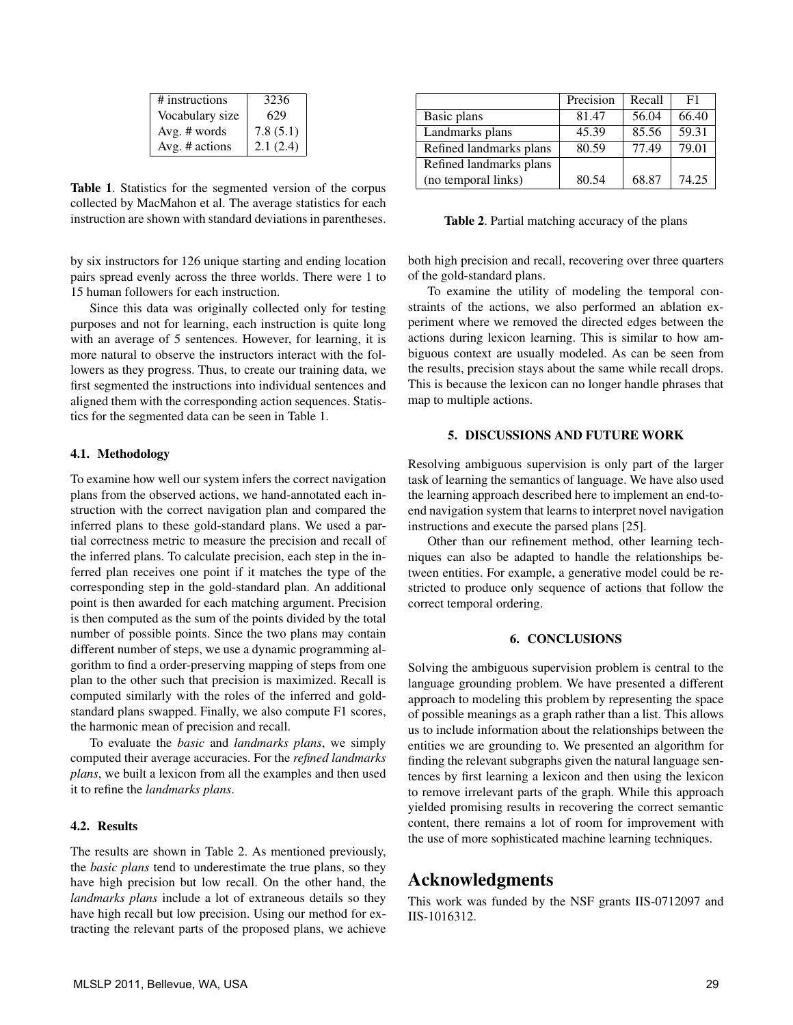| # instructions  | 3236     |
|-----------------|----------|
| Vocabulary size | 629      |
| Avg. $#$ words  | 7.8(5.1) |
| Avg. # actions  | 2.1(2.4) |

Table 1. Statistics for the segmented version of the corpus collected by MacMahon et al. The average statistics for each instruction are shown with standard deviations in parentheses.

by six instructors for 126 unique starting and ending location pairs spread evenly across the three worlds. There were 1 to 15 human followers for each instruction.

Since this data was originally collected only for testing purposes and not for learning, each instruction is quite long with an average of 5 sentences. However, for learning, it is more natural to observe the instructors interact with the followers as they progress. Thus, to create our training data, we first segmented the instructions into individual sentences and aligned them with the corresponding action sequences. Statistics for the segmented data can be seen in Table 1.

#### 4.1. Methodology

To examine how well our system infers the correct navigation plans from the observed actions, we hand-annotated each instruction with the correct navigation plan and compared the inferred plans to these gold-standard plans. We used a partial correctness metric to measure the precision and recall of the inferred plans. To calculate precision, each step in the inferred plan receives one point if it matches the type of the corresponding step in the gold-standard plan. An additional point is then awarded for each matching argument. Precision is then computed as the sum of the points divided by the total number of possible points. Since the two plans may contain different number of steps, we use a dynamic programming algorithm to find a order-preserving mapping of steps from one plan to the other such that precision is maximized. Recall is computed similarly with the roles of the inferred and goldstandard plans swapped. Finally, we also compute F1 scores, the harmonic mean of precision and recall.

To evaluate the *basic* and *landmarks plans*, we simply computed their average accuracies. For the *refined landmarks plans*, we built a lexicon from all the examples and then used it to refine the *landmarks plans*.

## 4.2. Results

The results are shown in Table 2. As mentioned previously, the *basic plans* tend to underestimate the true plans, so they have high precision but low recall. On the other hand, the *landmarks plans* include a lot of extraneous details so they have high recall but low precision. Using our method for extracting the relevant parts of the proposed plans, we achieve

|                         | Precision | Recall | F1    |
|-------------------------|-----------|--------|-------|
| Basic plans             | 81.47     | 56.04  | 66.40 |
| Landmarks plans         | 45.39     | 85.56  | 59.31 |
| Refined landmarks plans | 80.59     | 77.49  | 79.01 |
| Refined landmarks plans |           |        |       |
| (no temporal links)     | 80.54     | 68.87  | 74.25 |

Table 2. Partial matching accuracy of the plans

both high precision and recall, recovering over three quarters of the gold-standard plans.

To examine the utility of modeling the temporal constraints of the actions, we also performed an ablation experiment where we removed the directed edges between the actions during lexicon learning. This is similar to how ambiguous context are usually modeled. As can be seen from the results, precision stays about the same while recall drops. This is because the lexicon can no longer handle phrases that map to multiple actions.

### 5. DISCUSSIONS AND FUTURE WORK

Resolving ambiguous supervision is only part of the larger task of learning the semantics of language. We have also used the learning approach described here to implement an end-toend navigation system that learns to interpret novel navigation instructions and execute the parsed plans [25].

Other than our refinement method, other learning techniques can also be adapted to handle the relationships between entities. For example, a generative model could be restricted to produce only sequence of actions that follow the correct temporal ordering.

### 6. CONCLUSIONS

Solving the ambiguous supervision problem is central to the language grounding problem. We have presented a different approach to modeling this problem by representing the space of possible meanings as a graph rather than a list. This allows us to include information about the relationships between the entities we are grounding to. We presented an algorithm for finding the relevant subgraphs given the natural language sentences by first learning a lexicon and then using the lexicon to remove irrelevant parts of the graph. While this approach yielded promising results in recovering the correct semantic content, there remains a lot of room for improvement with the use of more sophisticated machine learning techniques.

# Acknowledgments

This work was funded by the NSF grants IIS-0712097 and IIS-1016312.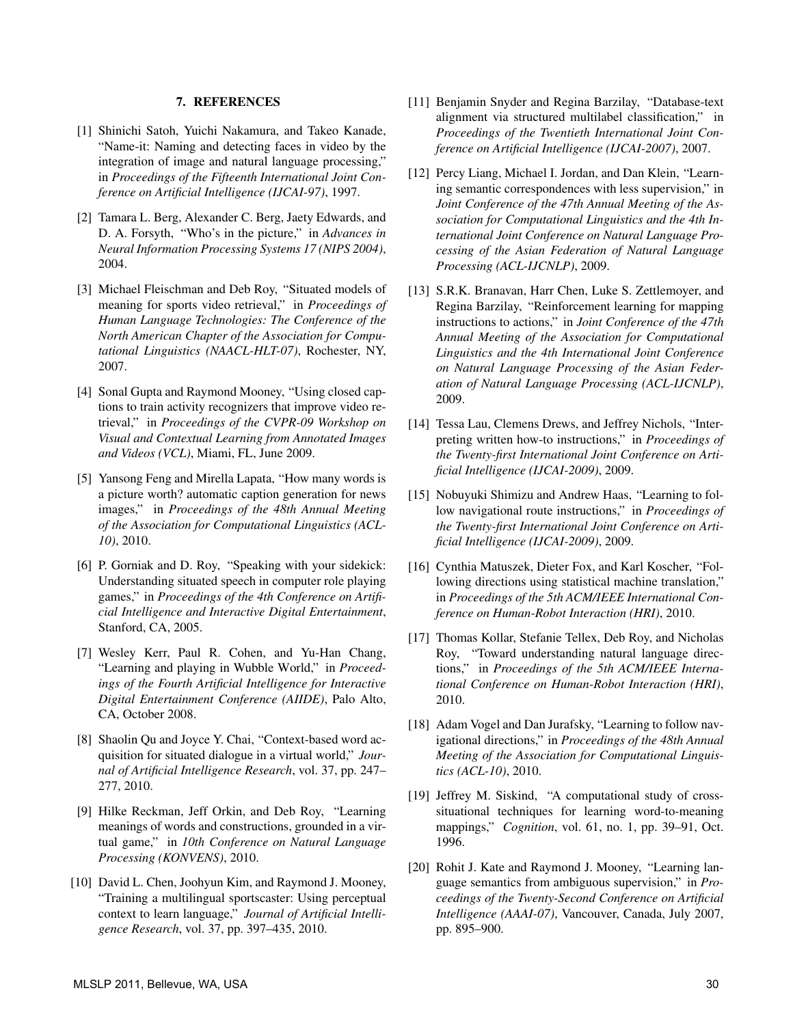#### 7. REFERENCES

- [1] Shinichi Satoh, Yuichi Nakamura, and Takeo Kanade, "Name-it: Naming and detecting faces in video by the integration of image and natural language processing," in *Proceedings of the Fifteenth International Joint Conference on Artificial Intelligence (IJCAI-97)*, 1997.
- [2] Tamara L. Berg, Alexander C. Berg, Jaety Edwards, and D. A. Forsyth, "Who's in the picture," in *Advances in Neural Information Processing Systems 17 (NIPS 2004)*, 2004.
- [3] Michael Fleischman and Deb Roy, "Situated models of meaning for sports video retrieval," in *Proceedings of Human Language Technologies: The Conference of the North American Chapter of the Association for Computational Linguistics (NAACL-HLT-07)*, Rochester, NY, 2007.
- [4] Sonal Gupta and Raymond Mooney, "Using closed captions to train activity recognizers that improve video retrieval," in *Proceedings of the CVPR-09 Workshop on Visual and Contextual Learning from Annotated Images and Videos (VCL)*, Miami, FL, June 2009.
- [5] Yansong Feng and Mirella Lapata, "How many words is a picture worth? automatic caption generation for news images," in *Proceedings of the 48th Annual Meeting of the Association for Computational Linguistics (ACL-10)*, 2010.
- [6] P. Gorniak and D. Roy, "Speaking with your sidekick: Understanding situated speech in computer role playing games," in *Proceedings of the 4th Conference on Artificial Intelligence and Interactive Digital Entertainment*, Stanford, CA, 2005.
- [7] Wesley Kerr, Paul R. Cohen, and Yu-Han Chang, "Learning and playing in Wubble World," in *Proceedings of the Fourth Artificial Intelligence for Interactive Digital Entertainment Conference (AIIDE)*, Palo Alto, CA, October 2008.
- [8] Shaolin Qu and Joyce Y. Chai, "Context-based word acquisition for situated dialogue in a virtual world," *Journal of Artificial Intelligence Research*, vol. 37, pp. 247– 277, 2010.
- [9] Hilke Reckman, Jeff Orkin, and Deb Roy, "Learning meanings of words and constructions, grounded in a virtual game," in *10th Conference on Natural Language Processing (KONVENS)*, 2010.
- [10] David L. Chen, Joohyun Kim, and Raymond J. Mooney, "Training a multilingual sportscaster: Using perceptual context to learn language," *Journal of Artificial Intelligence Research*, vol. 37, pp. 397–435, 2010.
- [11] Benjamin Snyder and Regina Barzilay, "Database-text" alignment via structured multilabel classification," in *Proceedings of the Twentieth International Joint Conference on Artificial Intelligence (IJCAI-2007)*, 2007.
- [12] Percy Liang, Michael I. Jordan, and Dan Klein, "Learning semantic correspondences with less supervision," in *Joint Conference of the 47th Annual Meeting of the Association for Computational Linguistics and the 4th International Joint Conference on Natural Language Processing of the Asian Federation of Natural Language Processing (ACL-IJCNLP)*, 2009.
- [13] S.R.K. Branavan, Harr Chen, Luke S. Zettlemoyer, and Regina Barzilay, "Reinforcement learning for mapping instructions to actions," in *Joint Conference of the 47th Annual Meeting of the Association for Computational Linguistics and the 4th International Joint Conference on Natural Language Processing of the Asian Federation of Natural Language Processing (ACL-IJCNLP)*, 2009.
- [14] Tessa Lau, Clemens Drews, and Jeffrey Nichols, "Interpreting written how-to instructions," in *Proceedings of the Twenty-first International Joint Conference on Artificial Intelligence (IJCAI-2009)*, 2009.
- [15] Nobuyuki Shimizu and Andrew Haas, "Learning to follow navigational route instructions," in *Proceedings of the Twenty-first International Joint Conference on Artificial Intelligence (IJCAI-2009)*, 2009.
- [16] Cynthia Matuszek, Dieter Fox, and Karl Koscher, "Following directions using statistical machine translation," in *Proceedings of the 5th ACM/IEEE International Conference on Human-Robot Interaction (HRI)*, 2010.
- [17] Thomas Kollar, Stefanie Tellex, Deb Roy, and Nicholas Roy, "Toward understanding natural language directions," in *Proceedings of the 5th ACM/IEEE International Conference on Human-Robot Interaction (HRI)*, 2010.
- [18] Adam Vogel and Dan Jurafsky, "Learning to follow navigational directions," in *Proceedings of the 48th Annual Meeting of the Association for Computational Linguistics (ACL-10)*, 2010.
- [19] Jeffrey M. Siskind, "A computational study of crosssituational techniques for learning word-to-meaning mappings," *Cognition*, vol. 61, no. 1, pp. 39–91, Oct. 1996.
- [20] Rohit J. Kate and Raymond J. Mooney, "Learning language semantics from ambiguous supervision," in *Proceedings of the Twenty-Second Conference on Artificial Intelligence (AAAI-07)*, Vancouver, Canada, July 2007, pp. 895–900.